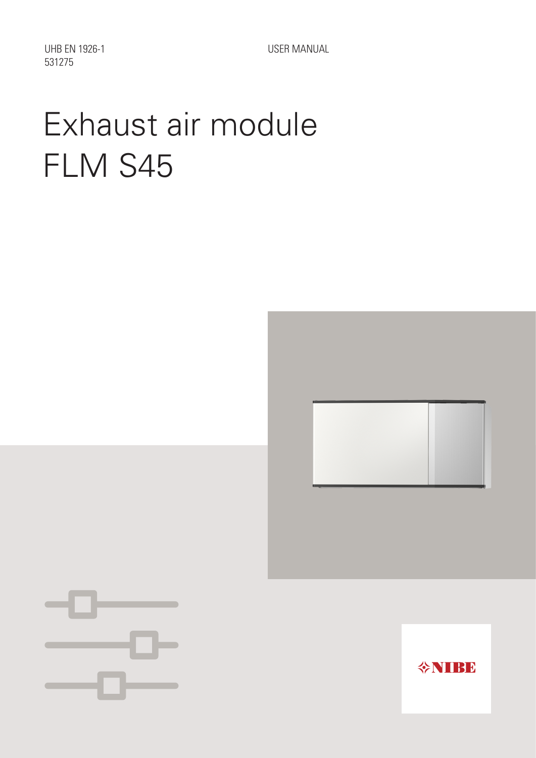USER MANUAL

UHB EN 1926-1 531275

# Exhaust air module FLM S45





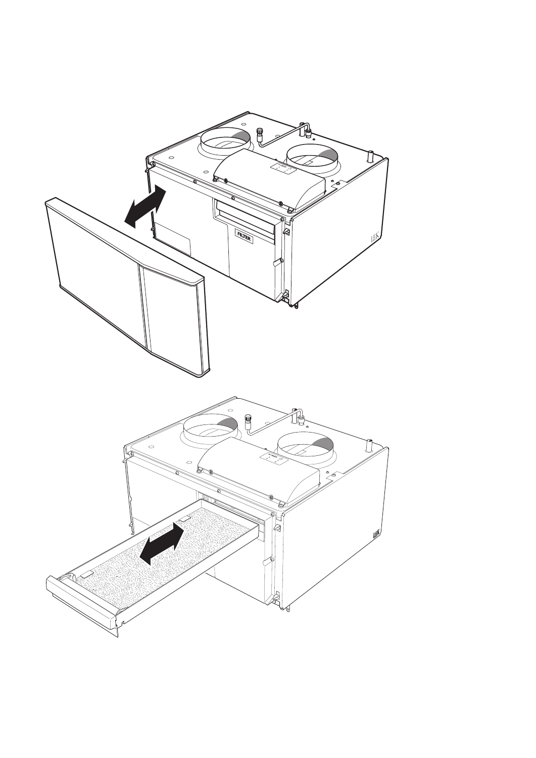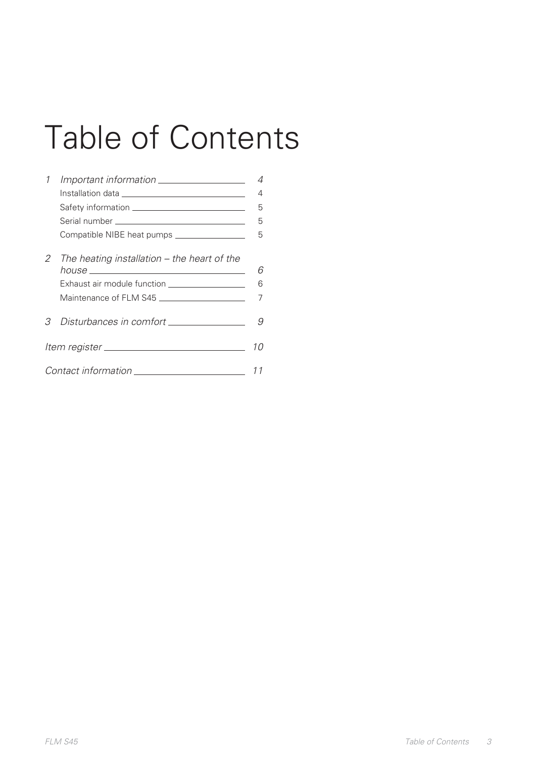# Table of Contents

| 1 |                                                  | 4   |
|---|--------------------------------------------------|-----|
|   |                                                  | 4   |
|   |                                                  | 5   |
|   |                                                  | 5   |
|   | Compatible NIBE heat pumps _________________     | 5   |
|   | 2 The heating installation – the heart of the    | 6   |
|   | Exhaust air module function ____________________ | 6   |
|   | Maintenance of FLM S45                           | 7   |
|   | 3 Disturbances in comfort ______________         | 9   |
|   |                                                  | 11) |
|   |                                                  |     |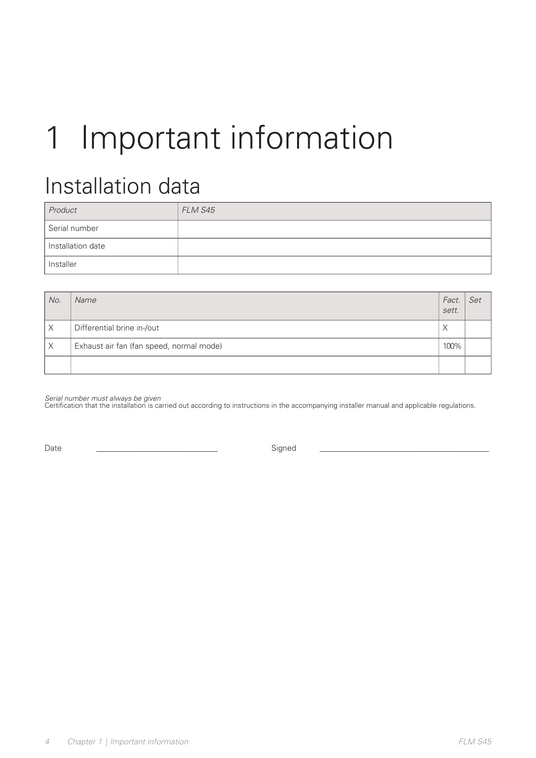# 1 Important information

## <span id="page-3-1"></span><span id="page-3-0"></span>Installation data

| Product           | FLM S45 |
|-------------------|---------|
| Serial number     |         |
| Installation date |         |
| Installer         |         |

| No. | Name                                     | <b>Fact</b><br>sett. | Set |
|-----|------------------------------------------|----------------------|-----|
| X   | Differential brine in-/out               | ∧                    |     |
| X   | Exhaust air fan (fan speed, normal mode) | 100%                 |     |
|     |                                          |                      |     |

Serial number must always be given

Certification that the installation is carried out according to instructions in the accompanying installer manual and applicable regulations.

Date \_\_\_\_\_\_\_\_\_\_\_\_\_\_\_\_\_\_\_\_\_\_\_\_\_\_\_\_\_\_ Signed \_\_\_\_\_\_\_\_\_\_\_\_\_\_\_\_\_\_\_\_\_\_\_\_\_\_\_\_\_\_\_\_\_\_\_\_\_\_\_\_\_\_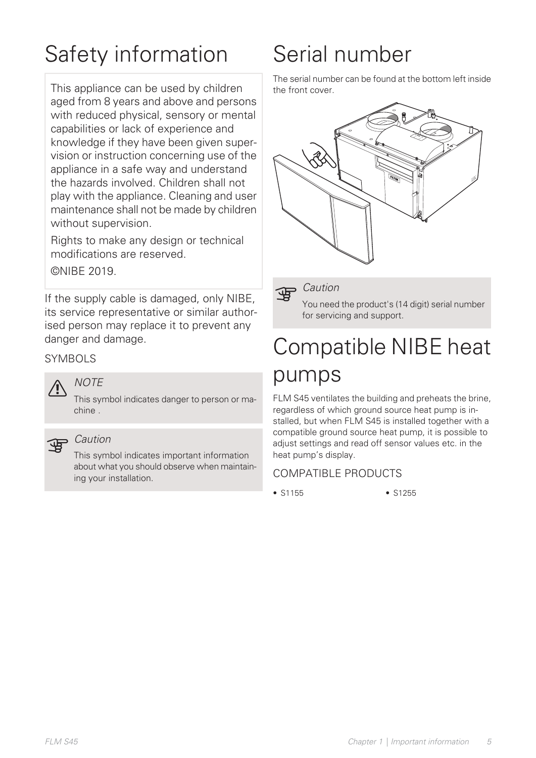## <span id="page-4-0"></span>Safety information

This appliance can be used by children aged from 8 years and above and persons with reduced physical, sensory or mental capabilities or lack of experience and knowledge if they have been given supervision or instruction concerning use of the appliance in a safe way and understand the hazards involved. Children shall not play with the appliance. Cleaning and user maintenance shall not be made by children without supervision.

Rights to make any design or technical modifications are reserved.

©NIBE 2019.

If the supply cable is damaged, only NIBE, its service representative or similar authorised person may replace it to prevent any danger and damage.

SYMBOLS



### **NOTE**

This symbol indicates danger to person or machine .



#### **Caution**

This symbol indicates important information about what you should observe when maintaining your installation.

## <span id="page-4-1"></span>Serial number

<span id="page-4-4"></span>The serial number can be found at the bottom left inside the front cover.



<span id="page-4-2"></span>

#### Caution

You need the product's (14 digit) serial number for servicing and support.

## <span id="page-4-3"></span>Compatible NIBE heat pumps

FLM S45 ventilates the building and preheats the brine, regardless of which ground source heat pump is installed, but when FLM S45 is installed together with a compatible ground source heat pump, it is possible to adjust settings and read off sensor values etc. in the heat pump's display.

### COMPATIBLE PRODUCTS

• S1155 • S1255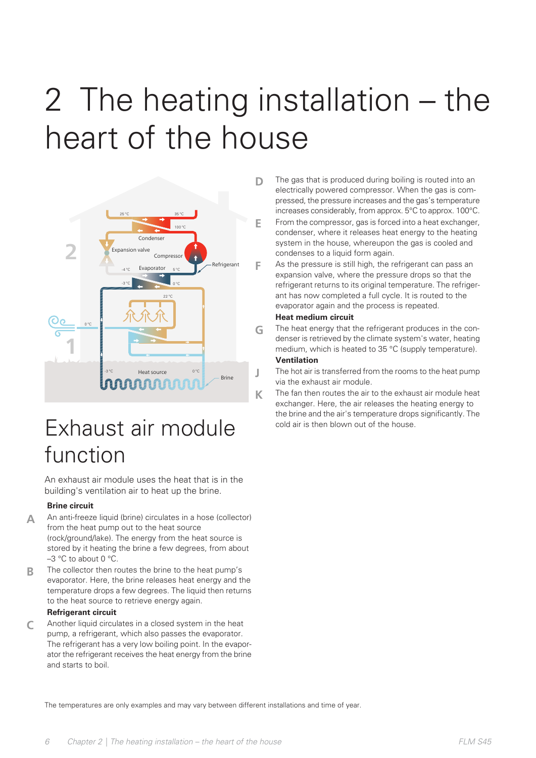# 2 The heating installation – the heart of the house

<span id="page-5-0"></span>

## <span id="page-5-2"></span><span id="page-5-1"></span>Exhaust air module function

An exhaust air module uses the heat that is in the building's ventilation air to heat up the brine.

#### **Brine circuit**

- An anti-freeze liquid (brine) circulates in a hose (collector) from the heat pump out to the heat source (rock/ground/lake). The energy from the heat source is stored by it heating the brine a few degrees, from about  $-3$  °C to about 0 °C. **A**
- The collector then routes the brine to the heat pump's evaporator. Here, the brine releases heat energy and the temperature drops a few degrees. The liquid then returns to the heat source to retrieve energy again. **B**

#### **Refrigerant circuit**

Another liquid circulates in a closed system in the heat pump, a refrigerant, which also passes the evaporator. The refrigerant has a very low boiling point. In the evaporator the refrigerant receives the heat energy from the brine and starts to boil. **C**

- The gas that is produced during boiling is routed into an electrically powered compressor. When the gas is compressed, the pressure increases and the gas's temperature increases considerably, from approx. 5°C to approx. 100°C. **D** From the compressor, gas is forced into a heat exchanger, condenser, where it releases heat energy to the heating system in the house, whereupon the gas is cooled and condenses to a liquid form again.
	- As the pressure is still high, the refrigerant can pass an expansion valve, where the pressure drops so that the refrigerant returns to its original temperature. The refrigerant has now completed a full cycle. It is routed to the evaporator again and the process is repeated.

#### **Heat medium circuit**

medium, which is heated to 35 °C (supply temperature). The heat energy that the refrigerant produces in the condenser is retrieved by the climate system's water, heating **Ventilation**

The hot air is transferred from the rooms to the heat pump via the exhaust air module.

The fan then routes the air to the exhaust air module heat exchanger. Here, the air releases the heating energy to the brine and the air's temperature drops significantly. The cold air is then blown out of the house.

The temperatures are only examples and may vary between different installations and time of year.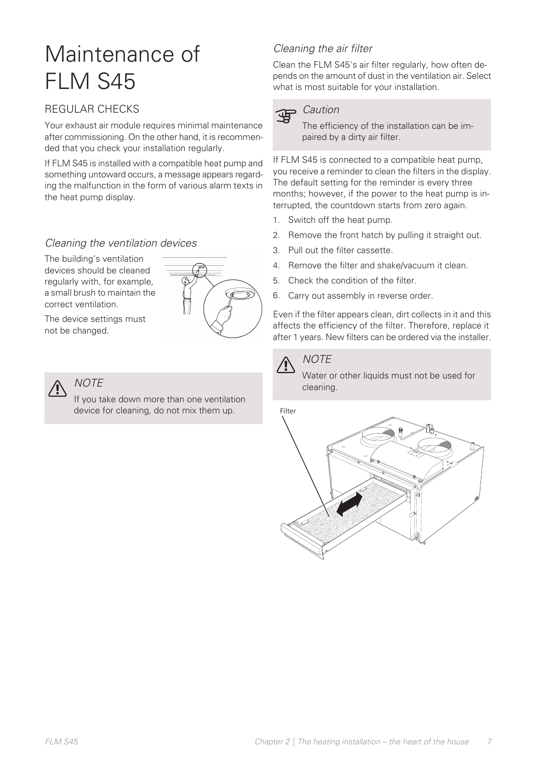## <span id="page-6-0"></span>Maintenance of FLM S45

### <span id="page-6-4"></span><span id="page-6-3"></span>REGULAR CHECKS

Your exhaust air module requires minimal maintenance after commissioning. On the other hand, it is recommended that you check your installation regularly.

If FLM S45 is installed with a compatible heat pump and something untoward occurs, a message appears regarding the malfunction in the form of various alarm texts in the heat pump display.

#### <span id="page-6-2"></span>Cleaning the ventilation devices

The building's ventilation devices should be cleaned regularly with, for example, a small brush to maintain the correct ventilation.



The device settings must not be changed.



### **NOTF**

If you take down more than one ventilation device for cleaning, do not mix them up.

### Cleaning the air filter

<span id="page-6-1"></span>Clean the FLM S45's air filter regularly, how often depends on the amount of dust in the ventilation air. Select what is most suitable for your installation.



#### Caution

The efficiency of the installation can be impaired by a dirty air filter.

If FLM S45 is connected to a compatible heat pump, you receive a reminder to clean the filters in the display. The default setting for the reminder is every three months; however, if the power to the heat pump is interrupted, the countdown starts from zero again.

- 1. Switch off the heat pump.
- 2. Remove the front hatch by pulling it straight out.
- 3. Pull out the filter cassette.
- 4. Remove the filter and shake/vacuum it clean.
- 5. Check the condition of the filter.
- 6. Carry out assembly in reverse order.

Even if the filter appears clean, dirt collects in it and this affects the efficiency of the filter. Therefore, replace it after 1 years. New filters can be ordered via the installer.

## **NOTE**

Water or other liquids must not be used for cleaning.



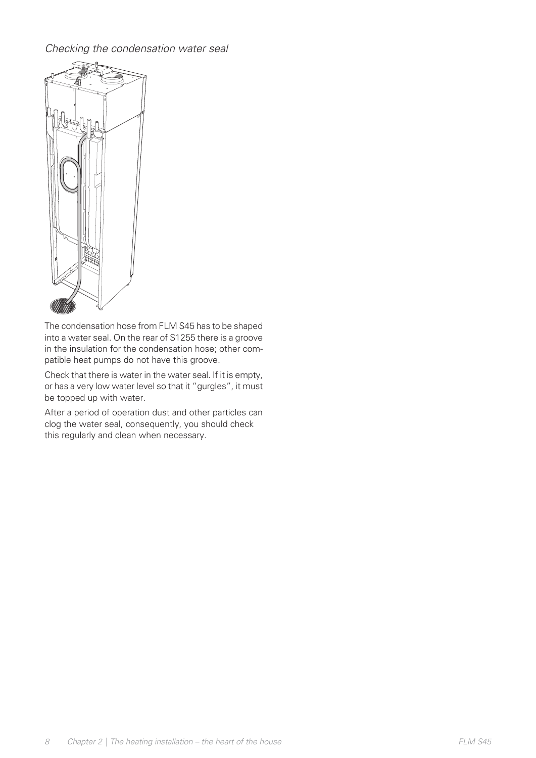### Checking the condensation water seal

<span id="page-7-0"></span>

The condensation hose from FLM S45 has to be shaped into a water seal. On the rear of S1255 there is a groove in the insulation for the condensation hose; other compatible heat pumps do not have this groove.

Check that there is water in the water seal. If it is empty, or has a very low water level so that it "gurgles", it must be topped up with water.

After a period of operation dust and other particles can clog the water seal, consequently, you should check this regularly and clean when necessary.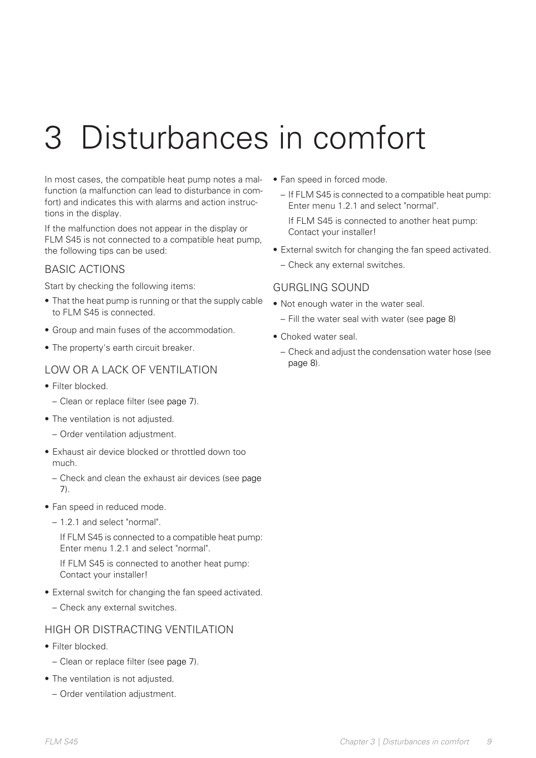# 3 Disturbances in comfort

<span id="page-8-0"></span>In most cases, the compatible heat pump notes a malfunction (a malfunction can lead to disturbance in comfort) and indicates this with alarms and action instructions in the display.

<span id="page-8-1"></span>If the malfunction does not appear in the display or FLM S45 is not connected to a compatible heat pump, the following tips can be used:

#### BASIC ACTIONS

Start by checking the following items:

- That the heat pump is running or that the supply cable to FLM S45 is connected.
- Group and main fuses of the accommodation.
- The property's earth circuit breaker.

### LOW OR A LACK OF VENTILATION

- Filter blocked.
	- Clean or replace filter (see [page](#page-6-1) 7).
- The ventilation is not adjusted.
	- Order ventilation adjustment.
- Exhaust air device blocked or throttled down too much.
	- Check and clean the exhaust air devices (see [page](#page-6-2) [7](#page-6-2)).
- Fan speed in reduced mode.
	- 1.2.1 and select "normal".

If FLM S45 is connected to a compatible heat pump: Enter menu 1.2.1 and select "normal".

If FLM S45 is connected to another heat pump: Contact your installer!

- External switch for changing the fan speed activated.
	- Check any external switches.

#### HIGH OR DISTRACTING VENTILATION

- Filter blocked.
	- Clean or replace filter (see [page](#page-6-1) 7).
- The ventilation is not adjusted.
	- Order ventilation adjustment.
- Fan speed in forced mode.
	- If FLM S45 is connected to a compatible heat pump: Enter menu 1.2.1 and select "normal".

If FLM S45 is connected to another heat pump: Contact your installer!

- External switch for changing the fan speed activated.
	- Check any external switches.

#### GURGLING SOUND

- Not enough water in the water seal.
	- Fill the water seal with water (see [page](#page-7-0) 8)
- Choked water seal.
	- Check and adjust the condensation water hose (see [page](#page-7-0) 8).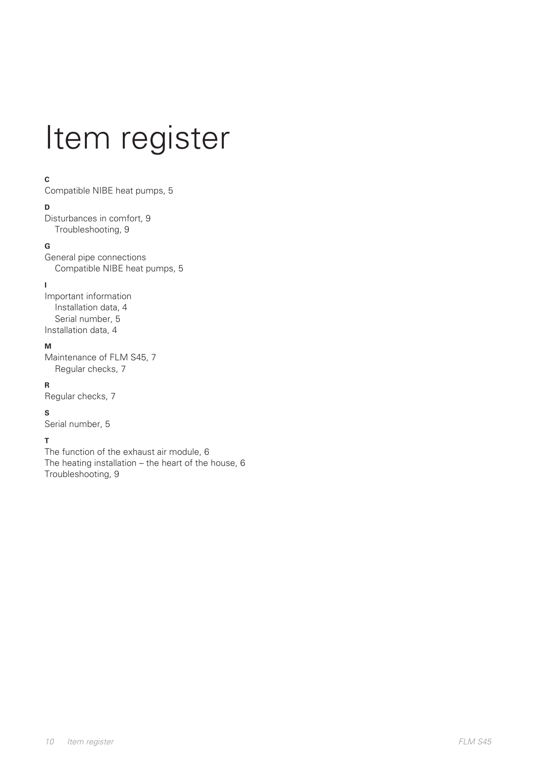# Item register

#### <span id="page-9-0"></span>**C**

Compatible NIBE heat pumps, [5](#page-4-3)

#### **D**

Disturbances in comfort, [9](#page-8-0) Troubleshooting, [9](#page-8-1)

#### **G**

General pipe connections Compatible NIBE heat pumps, [5](#page-4-3)

#### **I**

Important information Installation data, [4](#page-3-1) Serial number, [5](#page-4-4) Installation data, [4](#page-3-1)

#### **M**

Maintenance of FLM S45, [7](#page-6-3) Regular checks, [7](#page-6-4)

#### **R**

Regular checks, [7](#page-6-4)

#### **S**

Serial number, [5](#page-4-4)

#### **T**

The function of the exhaust air module, [6](#page-5-2) The heating installation – the heart of the house, [6](#page-5-0) Troubleshooting, [9](#page-8-1)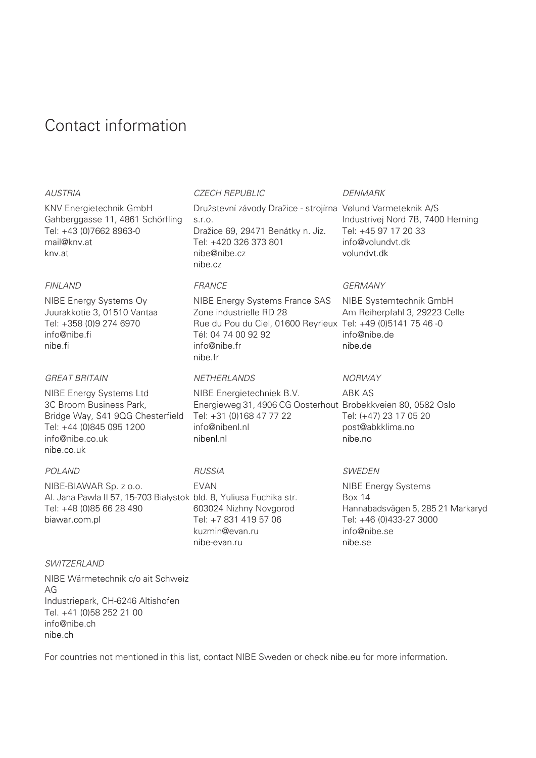## Contact information

KNV Energietechnik GmbH Gahberggasse 11, 4861 Schörfling Tel: +43 (0)7662 8963-0 mail@knv.at [knv.at](www.knv.at)

NIBE Energy Systems Oy Juurakkotie 3, 01510 Vantaa Tel: +358 (0)9 274 6970 info@nibe.fi [nibe.fi](www.nibe.fi)

#### GREAT BRITAIN **NETHERLANDS** NETHERLANDS

NIBE Energy Systems Ltd 3C Broom Business Park, Bridge Way, S41 9QG Chesterfield Tel: +44 (0)845 095 1200 info@nibe.co.uk [nibe.co.uk](www.nibe.co.uk)

Al. Jana Pawla II 57, 15-703 Bialystok bld. 8, Yuliusa Fuchika str. NIBE-BIAWAR Sp. z o.o. Tel: +48 (0)85 66 28 490 [biawar.com.pl](www.biawar.com.pl)

#### SWITZERLAND

NIBE Wärmetechnik c/o ait Schweiz AG Industriepark, CH-6246 Altishofen Tel. +41 (0)58 252 21 00 info@nibe.ch [nibe.ch](www.nibe.ch)

<span id="page-10-0"></span>AUSTRIA CZECH REPUBLIC DENMARK

Družstevní závody Dražice - strojírna Vølund Varmeteknik A/S s.r.o. Dražice 69, 29471 Benátky n. Jiz. Tel: +420 326 373 801 nibe@nibe.cz [nibe.cz](www.nibe.cz)

Rue du Pou du Ciel, 01600 Reyrieux Tel: +49 (0)5141 75 46 -0 NIBE Energy Systems France SAS Zone industrielle RD 28 Tél: 04 74 00 92 92 info@nibe.fr [nibe.fr](www.nibe.fr)

EVAN

Energieweg 31, 4906 CG Oosterhout Brobekkveien 80, 0582 Oslo NIBE Energietechniek B.V. Tel: +31 (0)168 47 77 22 info@nibenl.nl [nibenl.nl](www.nibenl.nl)

Industrivej Nord 7B, 7400 Herning Tel: +45 97 17 20 33 info@volundvt.dk [volundvt.dk](www.volundvt.dk)

#### FINLAND FRANCE GERMANY

NIBE Systemtechnik GmbH Am Reiherpfahl 3, 29223 Celle info@nibe.de [nibe.de](www.nibe.de)

ABK AS Tel: (+47) 23 17 05 20 post@abkklima.no [nibe.no](www.nibe.no)

#### POLAND RUSSIA SWEDEN

NIBE Energy Systems Box 14 Hannabadsvägen 5, 285 21 Markaryd Tel: +46 (0)433-27 3000 info@nibe.se [nibe.se](www.nibe.se)

For countries not mentioned in this list, contact NIBE Sweden or check [nibe.eu](www.nibe.eu) for more information.

603024 Nizhny Novgorod Tel: +7 831 419 57 06 kuzmin@evan.ru [nibe-evan.ru](http://www.nibe-evan.ru)